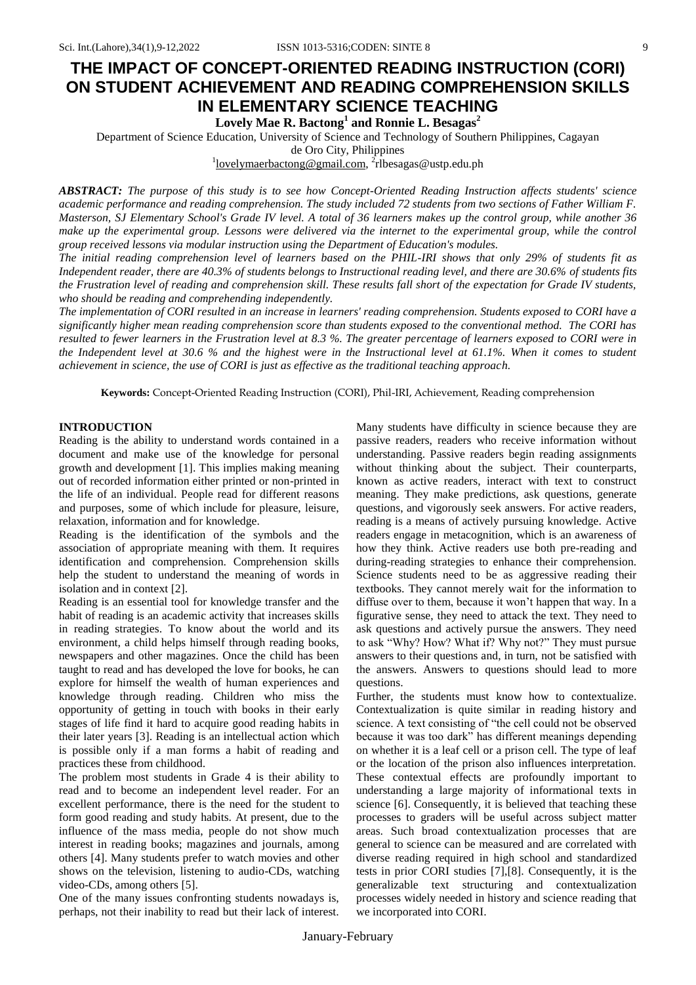# **THE IMPACT OF CONCEPT-ORIENTED READING INSTRUCTION (CORI) ON STUDENT ACHIEVEMENT AND READING COMPREHENSION SKILLS IN ELEMENTARY SCIENCE TEACHING**

## **Lovely Mae R. Bactong<sup>1</sup> and Ronnie L. Besagas<sup>2</sup>**

Department of Science Education, University of Science and Technology of Southern Philippines, Cagayan

de Oro City, Philippines

<sup>1</sup>lovelymaerbactong@gmail.com, <sup>2</sup>rlbesagas@ustp.edu.ph

*ABSTRACT: The purpose of this study is to see how Concept-Oriented Reading Instruction affects students' science academic performance and reading comprehension. The study included 72 students from two sections of Father William F. Masterson, SJ Elementary School's Grade IV level. A total of 36 learners makes up the control group, while another 36 make up the experimental group. Lessons were delivered via the internet to the experimental group, while the control group received lessons via modular instruction using the Department of Education's modules.*

*The initial reading comprehension level of learners based on the PHIL-IRI shows that only 29% of students fit as Independent reader, there are 40.3% of students belongs to Instructional reading level, and there are 30.6% of students fits the Frustration level of reading and comprehension skill. These results fall short of the expectation for Grade IV students, who should be reading and comprehending independently.*

*The implementation of CORI resulted in an increase in learners' reading comprehension. Students exposed to CORI have a significantly higher mean reading comprehension score than students exposed to the conventional method. The CORI has resulted to fewer learners in the Frustration level at 8.3 %. The greater percentage of learners exposed to CORI were in the Independent level at 30.6 % and the highest were in the Instructional level at 61.1%. When it comes to student achievement in science, the use of CORI is just as effective as the traditional teaching approach.*

**Keywords:** Concept-Oriented Reading Instruction (CORI), Phil-IRI, Achievement, Reading comprehension

## **INTRODUCTION**

Reading is the ability to understand words contained in a document and make use of the knowledge for personal growth and development [1]. This implies making meaning out of recorded information either printed or non-printed in the life of an individual. People read for different reasons and purposes, some of which include for pleasure, leisure, relaxation, information and for knowledge.

Reading is the identification of the symbols and the association of appropriate meaning with them. It requires identification and comprehension. Comprehension skills help the student to understand the meaning of words in isolation and in context [2].

Reading is an essential tool for knowledge transfer and the habit of reading is an academic activity that increases skills in reading strategies. To know about the world and its environment, a child helps himself through reading books, newspapers and other magazines. Once the child has been taught to read and has developed the love for books, he can explore for himself the wealth of human experiences and knowledge through reading. Children who miss the opportunity of getting in touch with books in their early stages of life find it hard to acquire good reading habits in their later years [3]. Reading is an intellectual action which is possible only if a man forms a habit of reading and practices these from childhood.

The problem most students in Grade 4 is their ability to read and to become an independent level reader. For an excellent performance, there is the need for the student to form good reading and study habits. At present, due to the influence of the mass media, people do not show much interest in reading books; magazines and journals, among others [4]. Many students prefer to watch movies and other shows on the television, listening to audio-CDs, watching video-CDs, among others [5].

One of the many issues confronting students nowadays is, perhaps, not their inability to read but their lack of interest. Many students have difficulty in science because they are passive readers, readers who receive information without understanding. Passive readers begin reading assignments without thinking about the subject. Their counterparts, known as active readers, interact with text to construct meaning. They make predictions, ask questions, generate questions, and vigorously seek answers. For active readers, reading is a means of actively pursuing knowledge. Active readers engage in metacognition, which is an awareness of how they think. Active readers use both pre-reading and during-reading strategies to enhance their comprehension. Science students need to be as aggressive reading their textbooks. They cannot merely wait for the information to diffuse over to them, because it won't happen that way. In a figurative sense, they need to attack the text. They need to ask questions and actively pursue the answers. They need to ask "Why? How? What if? Why not?" They must pursue answers to their questions and, in turn, not be satisfied with the answers. Answers to questions should lead to more questions.

Further, the students must know how to contextualize. Contextualization is quite similar in reading history and science. A text consisting of "the cell could not be observed because it was too dark" has different meanings depending on whether it is a leaf cell or a prison cell. The type of leaf or the location of the prison also influences interpretation. These contextual effects are profoundly important to understanding a large majority of informational texts in science [6]. Consequently, it is believed that teaching these processes to graders will be useful across subject matter areas. Such broad contextualization processes that are general to science can be measured and are correlated with diverse reading required in high school and standardized tests in prior CORI studies [7],[8]. Consequently, it is the generalizable text structuring and contextualization processes widely needed in history and science reading that we incorporated into CORI.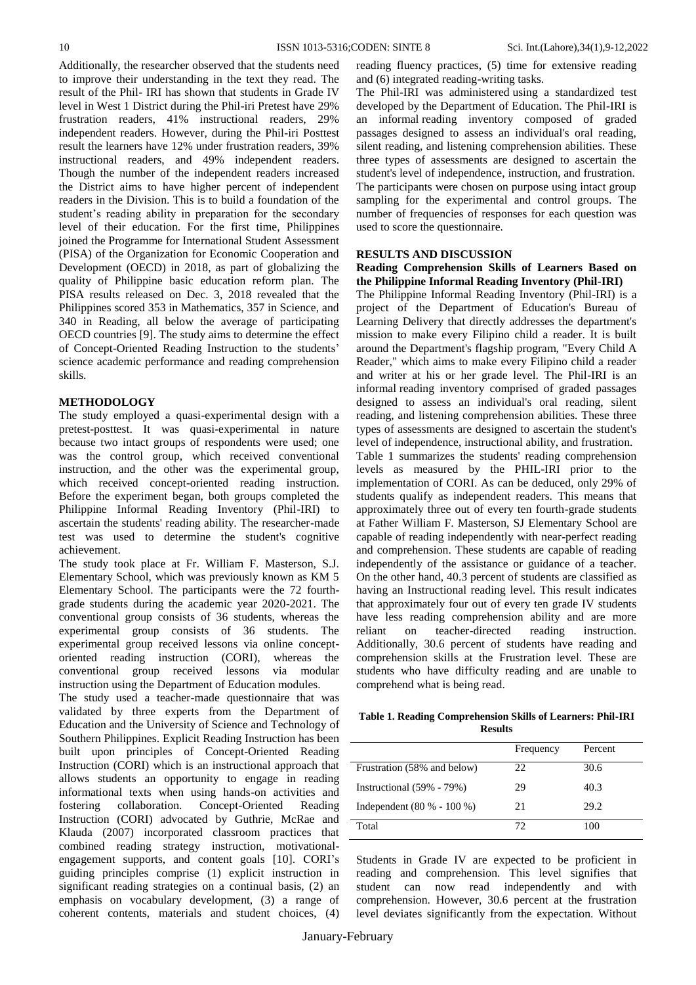Additionally, the researcher observed that the students need to improve their understanding in the text they read. The result of the Phil- IRI has shown that students in Grade IV level in West 1 District during the Phil-iri Pretest have 29% frustration readers, 41% instructional readers, 29% independent readers. However, during the Phil-iri Posttest result the learners have 12% under frustration readers, 39% instructional readers, and 49% independent readers. Though the number of the independent readers increased the District aims to have higher percent of independent readers in the Division. This is to build a foundation of the student's reading ability in preparation for the secondary level of their education. For the first time, Philippines joined the Programme for International Student Assessment (PISA) of the Organization for Economic Cooperation and Development (OECD) in 2018, as part of globalizing the quality of Philippine basic education reform plan. The PISA results released on Dec. 3, 2018 revealed that the Philippines scored 353 in Mathematics, 357 in Science, and 340 in Reading, all below the average of participating OECD countries [9]. The study aims to determine the effect of Concept-Oriented Reading Instruction to the students' science academic performance and reading comprehension skills.

## **METHODOLOGY**

The study employed a quasi-experimental design with a pretest-posttest. It was quasi-experimental in nature because two intact groups of respondents were used; one was the control group, which received conventional instruction, and the other was the experimental group, which received concept-oriented reading instruction. Before the experiment began, both groups completed the Philippine Informal Reading Inventory (Phil-IRI) to ascertain the students' reading ability. The researcher-made test was used to determine the student's cognitive achievement.

The study took place at Fr. William F. Masterson, S.J. Elementary School, which was previously known as KM 5 Elementary School. The participants were the 72 fourthgrade students during the academic year 2020-2021. The conventional group consists of 36 students, whereas the experimental group consists of 36 students. The experimental group received lessons via online conceptoriented reading instruction (CORI), whereas the conventional group received lessons via modular instruction using the Department of Education modules.

The study used a teacher-made questionnaire that was validated by three experts from the Department of Education and the University of Science and Technology of Southern Philippines. Explicit Reading Instruction has been built upon principles of Concept-Oriented Reading Instruction (CORI) which is an instructional approach that allows students an opportunity to engage in reading informational texts when using hands-on activities and fostering collaboration. Concept-Oriented Reading Instruction (CORI) advocated by Guthrie, McRae and Klauda (2007) incorporated classroom practices that combined reading strategy instruction, motivationalengagement supports, and content goals [10]. CORI's guiding principles comprise (1) explicit instruction in significant reading strategies on a continual basis, (2) an emphasis on vocabulary development, (3) a range of coherent contents, materials and student choices, (4)

reading fluency practices, (5) time for extensive reading and (6) integrated reading-writing tasks.

The Phil-IRI was administered using a standardized test developed by the Department of Education. The Phil-IRI is an informal reading inventory composed of graded passages designed to assess an individual's oral reading, silent reading, and listening comprehension abilities. These three types of assessments are designed to ascertain the student's level of independence, instruction, and frustration. The participants were chosen on purpose using intact group sampling for the experimental and control groups. The number of frequencies of responses for each question was used to score the questionnaire.

## **RESULTS AND DISCUSSION**

## **Reading Comprehension Skills of Learners Based on the Philippine Informal Reading Inventory (Phil-IRI)**

The Philippine Informal Reading Inventory (Phil-IRI) is a project of the Department of Education's Bureau of Learning Delivery that directly addresses the department's mission to make every Filipino child a reader. It is built around the Department's flagship program, "Every Child A Reader," which aims to make every Filipino child a reader and writer at his or her grade level. The Phil-IRI is an informal reading inventory comprised of graded passages designed to assess an individual's oral reading, silent reading, and listening comprehension abilities. These three types of assessments are designed to ascertain the student's level of independence, instructional ability, and frustration.

Table 1 summarizes the students' reading comprehension levels as measured by the PHIL-IRI prior to the implementation of CORI. As can be deduced, only 29% of students qualify as independent readers. This means that approximately three out of every ten fourth-grade students at Father William F. Masterson, SJ Elementary School are capable of reading independently with near-perfect reading and comprehension. These students are capable of reading independently of the assistance or guidance of a teacher. On the other hand, 40.3 percent of students are classified as having an Instructional reading level. This result indicates that approximately four out of every ten grade IV students have less reading comprehension ability and are more reliant on teacher-directed reading instruction. Additionally, 30.6 percent of students have reading and comprehension skills at the Frustration level. These are students who have difficulty reading and are unable to comprehend what is being read.

**Table 1. Reading Comprehension Skills of Learners: Phil-IRI Results**

|                               | Frequency | Percent |
|-------------------------------|-----------|---------|
| Frustration (58% and below)   | 22        | 30.6    |
| Instructional (59% - 79%)     | 29        | 40.3    |
| Independent $(80 % - 100 % )$ | 21        | 29.2    |
| Total                         | 72        | 100     |

Students in Grade IV are expected to be proficient in reading and comprehension. This level signifies that student can now read independently and with comprehension. However, 30.6 percent at the frustration level deviates significantly from the expectation. Without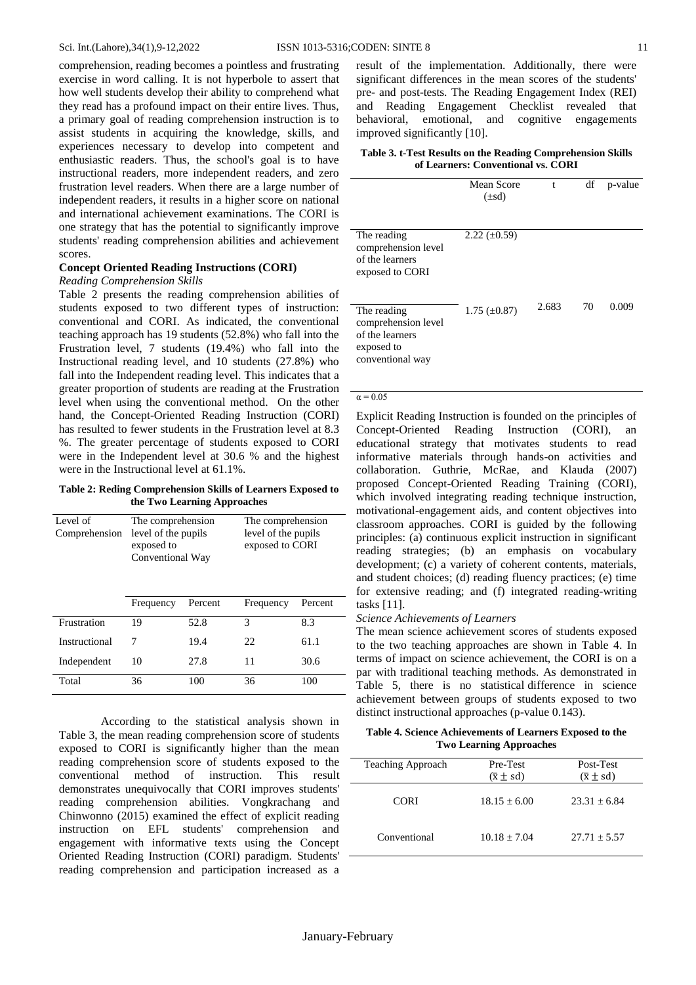comprehension, reading becomes a pointless and frustrating exercise in word calling. It is not hyperbole to assert that how well students develop their ability to comprehend what they read has a profound impact on their entire lives. Thus, a primary goal of reading comprehension instruction is to assist students in acquiring the knowledge, skills, and experiences necessary to develop into competent and enthusiastic readers. Thus, the school's goal is to have instructional readers, more independent readers, and zero frustration level readers. When there are a large number of independent readers, it results in a higher score on national and international achievement examinations. The CORI is one strategy that has the potential to significantly improve students' reading comprehension abilities and achievement scores.

## **Concept Oriented Reading Instructions (CORI)**

#### *Reading Comprehension Skills*

Table 2 presents the reading comprehension abilities of students exposed to two different types of instruction: conventional and CORI. As indicated, the conventional teaching approach has 19 students (52.8%) who fall into the Frustration level, 7 students (19.4%) who fall into the Instructional reading level, and 10 students (27.8%) who fall into the Independent reading level. This indicates that a greater proportion of students are reading at the Frustration level when using the conventional method. On the other hand, the Concept-Oriented Reading Instruction (CORI) has resulted to fewer students in the Frustration level at 8.3 %. The greater percentage of students exposed to CORI were in the Independent level at 30.6 % and the highest were in the Instructional level at 61.1%.

**Table 2: Reding Comprehension Skills of Learners Exposed to the Two Learning Approaches**

| Level of<br>Comprehension | The comprehension<br>level of the pupils<br>exposed to<br>Conventional Way |         | The comprehension<br>level of the pupils<br>exposed to CORI |         |
|---------------------------|----------------------------------------------------------------------------|---------|-------------------------------------------------------------|---------|
|                           |                                                                            |         |                                                             |         |
|                           | Frequency                                                                  | Percent | Frequency                                                   | Percent |
| Frustration               | 19                                                                         | 52.8    | 3                                                           | 8.3     |
| Instructional             | 7                                                                          | 19.4    | 22                                                          | 61.1    |
| Independent               | 10                                                                         | 27.8    | 11                                                          | 30.6    |
| Total                     | 36                                                                         | 100     | 36                                                          | 100     |

According to the statistical analysis shown in Table 3, the mean reading comprehension score of students exposed to CORI is significantly higher than the mean reading comprehension score of students exposed to the conventional method of instruction. This result demonstrates unequivocally that CORI improves students' reading comprehension abilities. Vongkrachang and Chinwonno (2015) examined the effect of explicit reading instruction on EFL students' comprehension and engagement with informative texts using the Concept Oriented Reading Instruction (CORI) paradigm. Students' reading comprehension and participation increased as a

result of the implementation. Additionally, there were significant differences in the mean scores of the students' pre- and post-tests. The Reading Engagement Index (REI) and Reading Engagement Checklist revealed that behavioral, emotional, and cognitive engagements improved significantly [10].

## **Table 3. t-Test Results on the Reading Comprehension Skills of Learners: Conventional vs. CORI**

|                                                                                         | Mean Score<br>$(\pm sd)$ | t     | df | p-value |
|-----------------------------------------------------------------------------------------|--------------------------|-------|----|---------|
| The reading<br>comprehension level<br>of the learners<br>exposed to CORI                | $2.22 \ (\pm 0.59)$      |       |    |         |
| The reading<br>comprehension level<br>of the learners<br>exposed to<br>conventional way | $1.75 \ (\pm 0.87)$      | 2.683 | 70 | 0.009   |

#### $\alpha = 0.05$

Explicit Reading Instruction is founded on the principles of Concept-Oriented Reading Instruction (CORI), an educational strategy that motivates students to read informative materials through hands-on activities and collaboration. Guthrie, McRae, and Klauda (2007) proposed Concept-Oriented Reading Training (CORI), which involved integrating reading technique instruction, motivational-engagement aids, and content objectives into classroom approaches. CORI is guided by the following principles: (a) continuous explicit instruction in significant reading strategies; (b) an emphasis on vocabulary development; (c) a variety of coherent contents, materials, and student choices; (d) reading fluency practices; (e) time for extensive reading; and (f) integrated reading-writing tasks [11].

## *Science Achievements of Learners*

The mean science achievement scores of students exposed to the two teaching approaches are shown in Table 4. In terms of impact on science achievement, the CORI is on a par with traditional teaching methods. As demonstrated in Table 5, there is no statistical difference in science achievement between groups of students exposed to two distinct instructional approaches (p-value 0.143).

**Table 4. Science Achievements of Learners Exposed to the Two Learning Approaches**

| <b>Teaching Approach</b> | Pre-Test           | Post-Test          |
|--------------------------|--------------------|--------------------|
|                          | $(\bar{x} \pm sd)$ | $(\bar{x} \pm sd)$ |
| <b>CORI</b>              | $18.15 + 6.00$     | $23.31 + 6.84$     |
| Conventional             | $10.18 + 7.04$     | $27.71 + 5.57$     |